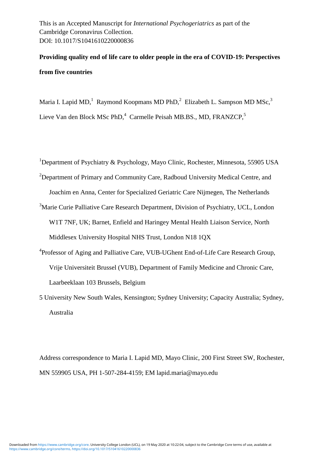This is an Accepted Manuscript for *International Psychogeriatrics* as part of the Cambridge Coronavirus Collection. DOI: 10.1017/S1041610220000836

**Providing quality end of life care to older people in the era of COVID-19: Perspectives from five countries**

Maria I. Lapid MD,<sup>1</sup> Raymond Koopmans MD PhD,<sup>2</sup> Elizabeth L. Sampson MD MSc,<sup>3</sup> Lieve Van den Block MSc PhD,<sup>4</sup> Carmelle Peisah MB.BS., MD, FRANZCP,<sup>5</sup>

<sup>1</sup>Department of Psychiatry & Psychology, Mayo Clinic, Rochester, Minnesota, 55905 USA

- <sup>2</sup>Department of Primary and Community Care, Radboud University Medical Centre, and Joachim en Anna, Center for Specialized Geriatric Care Nijmegen, The Netherlands
- <sup>3</sup>Marie Curie Palliative Care Research Department, Division of Psychiatry, UCL, London W1T 7NF, UK; Barnet, Enfield and Haringey Mental Health Liaison Service, North Middlesex University Hospital NHS Trust, London N18 1QX
- <sup>4</sup>Professor of Aging and Palliative Care, VUB-UGhent End-of-Life Care Research Group, Vrije Universiteit Brussel (VUB), Department of Family Medicine and Chronic Care, Laarbeeklaan 103 Brussels, Belgium
- 5 University New South Wales, Kensington; Sydney University; Capacity Australia; Sydney, Australia

Address correspondence to Maria I. Lapid MD, Mayo Clinic, 200 First Street SW, Rochester, MN 559905 USA, PH 1-507-284-4159; EM lapid.maria@mayo.edu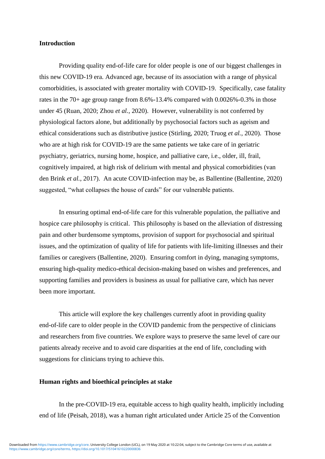## **Introduction**

Providing quality end-of-life care for older people is one of our biggest challenges in this new COVID-19 era. Advanced age, because of its association with a range of physical comorbidities, is associated with greater mortality with COVID-19. Specifically, case fatality rates in the 70+ age group range from 8.6%-13.4% compared with 0.0026%-0.3% in those under 45 (Ruan, 2020; Zhou *et al.*, 2020). However, vulnerability is not conferred by physiological factors alone, but additionally by psychosocial factors such as ageism and ethical considerations such as distributive justice (Stirling, 2020; Truog *et al.*, 2020). Those who are at high risk for COVID-19 are the same patients we take care of in geriatric psychiatry, geriatrics, nursing home, hospice, and palliative care, i.e., older, ill, frail, cognitively impaired, at high risk of delirium with mental and physical comorbidities (van den Brink *et al.*, 2017). An acute COVID-infection may be, as Ballentine (Ballentine, 2020) suggested, "what collapses the house of cards" for our vulnerable patients.

In ensuring optimal end-of-life care for this vulnerable population, the palliative and hospice care philosophy is critical. This philosophy is based on the alleviation of distressing pain and other burdensome symptoms, provision of support for psychosocial and spiritual issues, and the optimization of quality of life for patients with life-limiting illnesses and their families or caregivers (Ballentine, 2020). Ensuring comfort in dying, managing symptoms, ensuring high-quality medico-ethical decision-making based on wishes and preferences, and supporting families and providers is business as usual for palliative care, which has never been more important.

This article will explore the key challenges currently afoot in providing quality end-of-life care to older people in the COVID pandemic from the perspective of clinicians and researchers from five countries. We explore ways to preserve the same level of care our patients already receive and to avoid care disparities at the end of life, concluding with suggestions for clinicians trying to achieve this.

### **Human rights and bioethical principles at stake**

In the pre-COVID-19 era, equitable access to high quality health, implicitly including end of life (Peisah, 2018), was a human right articulated under Article 25 of the Convention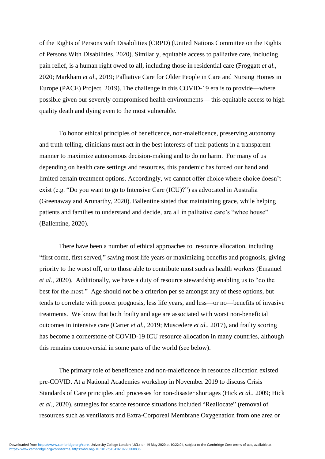of the Rights of Persons with Disabilities (CRPD) (United Nations Committee on the Rights of Persons With Disabilities, 2020). Similarly, equitable access to palliative care, including pain relief, is a human right owed to all, including those in residential care (Froggatt *et al.*, 2020; Markham *et al.*, 2019; Palliative Care for Older People in Care and Nursing Homes in Europe (PACE) Project, 2019). The challenge in this COVID-19 era is to provide—where possible given our severely compromised health environments— this equitable access to high quality death and dying even to the most vulnerable.

To honor ethical principles of beneficence, non-maleficence, preserving autonomy and truth-telling, clinicians must act in the best interests of their patients in a transparent manner to maximize autonomous decision-making and to do no harm. For many of us depending on health care settings and resources, this pandemic has forced our hand and limited certain treatment options. Accordingly, we cannot offer choice where choice doesn't exist (e.g. "Do you want to go to Intensive Care (ICU)?") as advocated in Australia (Greenaway and Arunarthy, 2020). Ballentine stated that maintaining grace, while helping patients and families to understand and decide, are all in palliative care's "wheelhouse" (Ballentine, 2020).

There have been a number of ethical approaches to resource allocation, including "first come, first served," saving most life years or maximizing benefits and prognosis, giving priority to the worst off, or to those able to contribute most such as health workers (Emanuel *et al.*, 2020). Additionally, we have a duty of resource stewardship enabling us to "do the best for the most." Age should not be a criterion per se amongst any of these options, but tends to correlate with poorer prognosis, less life years, and less—or no—benefits of invasive treatments. We know that both frailty and age are associated with worst non-beneficial outcomes in intensive care (Carter *et al.*, 2019; Muscedere *et al.*, 2017), and frailty scoring has become a cornerstone of COVID-19 ICU resource allocation in many countries, although this remains controversial in some parts of the world (see below).

The primary role of beneficence and non-maleficence in resource allocation existed pre-COVID. At a National Academies workshop in November 2019 to discuss Crisis Standards of Care principles and processes for non-disaster shortages (Hick *et al.*, 2009; Hick *et al.*, 2020), strategies for scarce resource situations included "Reallocate" (removal of resources such as ventilators and Extra-Corporeal Membrane Oxygenation from one area or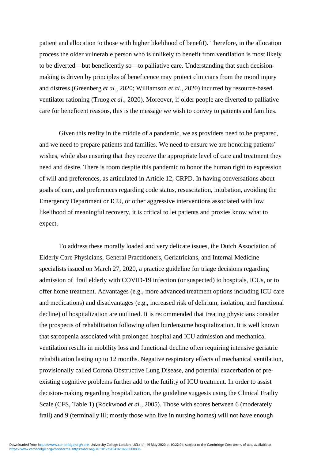patient and allocation to those with higher likelihood of benefit). Therefore, in the allocation process the older vulnerable person who is unlikely to benefit from ventilation is most likely to be diverted—but beneficently so—to palliative care. Understanding that such decisionmaking is driven by principles of beneficence may protect clinicians from the moral injury and distress (Greenberg *et al.*, 2020; Williamson *et al.*, 2020) incurred by resource-based ventilator rationing (Truog *et al.*, 2020). Moreover, if older people are diverted to palliative care for beneficent reasons, this is the message we wish to convey to patients and families.

Given this reality in the middle of a pandemic, we as providers need to be prepared, and we need to prepare patients and families. We need to ensure we are honoring patients' wishes, while also ensuring that they receive the appropriate level of care and treatment they need and desire. There is room despite this pandemic to honor the human right to expression of will and preferences, as articulated in Article 12, CRPD. In having conversations about goals of care, and preferences regarding code status, resuscitation, intubation, avoiding the Emergency Department or ICU, or other aggressive interventions associated with low likelihood of meaningful recovery, it is critical to let patients and proxies know what to expect.

To address these morally loaded and very delicate issues, the Dutch Association of Elderly Care Physicians, General Practitioners, Geriatricians, and Internal Medicine specialists issued on March 27, 2020, a practice guideline for triage decisions regarding admission of frail elderly with COVID-19 infection (or suspected) to hospitals, ICUs, or to offer home treatment. Advantages (e.g., more advanced treatment options including ICU care and medications) and disadvantages (e.g., increased risk of delirium, isolation, and functional decline) of hospitalization are outlined. It is recommended that treating physicians consider the prospects of rehabilitation following often burdensome hospitalization. It is well known that sarcopenia associated with prolonged hospital and ICU admission and mechanical ventilation results in mobility loss and functional decline often requiring intensive geriatric rehabilitation lasting up to 12 months. Negative respiratory effects of mechanical ventilation, provisionally called Corona Obstructive Lung Disease, and potential exacerbation of preexisting cognitive problems further add to the futility of ICU treatment. In order to assist decision-making regarding hospitalization, the guideline suggests using the Clinical Frailty Scale (CFS, Table 1) (Rockwood *et al.*, 2005). Those with scores between 6 (moderately frail) and 9 (terminally ill; mostly those who live in nursing homes) will not have enough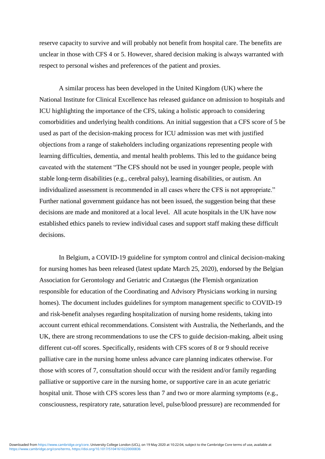reserve capacity to survive and will probably not benefit from hospital care. The benefits are unclear in those with CFS 4 or 5. However, shared decision making is always warranted with respect to personal wishes and preferences of the patient and proxies.

A similar process has been developed in the United Kingdom (UK) where the National Institute for Clinical Excellence has released guidance on admission to hospitals and ICU highlighting the importance of the CFS, taking a holistic approach to considering comorbidities and underlying health conditions. An initial suggestion that a CFS score of 5 be used as part of the decision-making process for ICU admission was met with justified objections from a range of stakeholders including organizations representing people with learning difficulties, dementia, and mental health problems. This led to the guidance being caveated with the statement "The CFS should not be used in younger people, people with stable long-term disabilities (e.g., cerebral palsy), learning disabilities, or autism. An individualized assessment is recommended in all cases where the CFS is not appropriate." Further national government guidance has not been issued, the suggestion being that these decisions are made and monitored at a local level. All acute hospitals in the UK have now established ethics panels to review individual cases and support staff making these difficult decisions.

In Belgium, a COVID-19 guideline for symptom control and clinical decision-making for nursing homes has been released (latest update March 25, 2020), endorsed by the Belgian Association for Gerontology and Geriatric and Crataegus (the Flemish organization responsible for education of the Coordinating and Advisory Physicians working in nursing homes). The document includes guidelines for symptom management specific to COVID-19 and risk-benefit analyses regarding hospitalization of nursing home residents, taking into account current ethical recommendations. Consistent with Australia, the Netherlands, and the UK, there are strong recommendations to use the CFS to guide decision-making, albeit using different cut-off scores. Specifically, residents with CFS scores of 8 or 9 should receive palliative care in the nursing home unless advance care planning indicates otherwise. For those with scores of 7, consultation should occur with the resident and/or family regarding palliative or supportive care in the nursing home, or supportive care in an acute geriatric hospital unit. Those with CFS scores less than 7 and two or more alarming symptoms (e.g., consciousness, respiratory rate, saturation level, pulse/blood pressure) are recommended for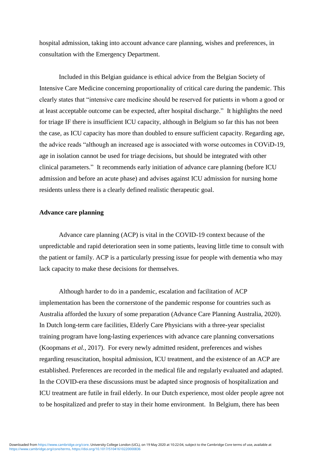hospital admission, taking into account advance care planning, wishes and preferences, in consultation with the Emergency Department.

Included in this Belgian guidance is ethical advice from the Belgian Society of Intensive Care Medicine concerning proportionality of critical care during the pandemic. This clearly states that "intensive care medicine should be reserved for patients in whom a good or at least acceptable outcome can be expected, after hospital discharge." It highlights the need for triage IF there is insufficient ICU capacity, although in Belgium so far this has not been the case, as ICU capacity has more than doubled to ensure sufficient capacity. Regarding age, the advice reads "although an increased age is associated with worse outcomes in COViD-19, age in isolation cannot be used for triage decisions, but should be integrated with other clinical parameters." It recommends early initiation of advance care planning (before ICU admission and before an acute phase) and advises against ICU admission for nursing home residents unless there is a clearly defined realistic therapeutic goal.

### **Advance care planning**

Advance care planning (ACP) is vital in the COVID-19 context because of the unpredictable and rapid deterioration seen in some patients, leaving little time to consult with the patient or family. ACP is a particularly pressing issue for people with dementia who may lack capacity to make these decisions for themselves.

Although harder to do in a pandemic, escalation and facilitation of ACP implementation has been the cornerstone of the pandemic response for countries such as Australia afforded the luxury of some preparation (Advance Care Planning Australia, 2020). In Dutch long-term care facilities, Elderly Care Physicians with a three-year specialist training program have long-lasting experiences with advance care planning conversations (Koopmans *et al.*, 2017). For every newly admitted resident, preferences and wishes regarding resuscitation, hospital admission, ICU treatment, and the existence of an ACP are established. Preferences are recorded in the medical file and regularly evaluated and adapted. In the COVID-era these discussions must be adapted since prognosis of hospitalization and ICU treatment are futile in frail elderly. In our Dutch experience, most older people agree not to be hospitalized and prefer to stay in their home environment. In Belgium, there has been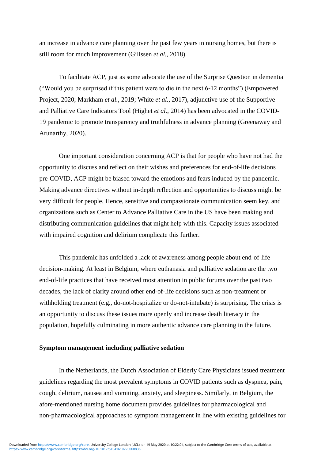an increase in advance care planning over the past few years in nursing homes, but there is still room for much improvement (Gilissen *et al.*, 2018).

To facilitate ACP, just as some advocate the use of the Surprise Question in dementia ("Would you be surprised if this patient were to die in the next 6-12 months") (Empowered Project, 2020; Markham *et al.*, 2019; White *et al.*, 2017), adjunctive use of the Supportive and Palliative Care Indicators Tool (Highet *et al.*, 2014) has been advocated in the COVID-19 pandemic to promote transparency and truthfulness in advance planning (Greenaway and Arunarthy, 2020).

One important consideration concerning ACP is that for people who have not had the opportunity to discuss and reflect on their wishes and preferences for end-of-life decisions pre-COVID, ACP might be biased toward the emotions and fears induced by the pandemic. Making advance directives without in-depth reflection and opportunities to discuss might be very difficult for people. Hence, sensitive and compassionate communication seem key, and organizations such as Center to Advance Palliative Care in the US have been making and distributing communication guidelines that might help with this. Capacity issues associated with impaired cognition and delirium complicate this further.

This pandemic has unfolded a lack of awareness among people about end-of-life decision-making. At least in Belgium, where euthanasia and palliative sedation are the two end-of-life practices that have received most attention in public forums over the past two decades, the lack of clarity around other end-of-life decisions such as non-treatment or withholding treatment (e.g., do-not-hospitalize or do-not-intubate) is surprising. The crisis is an opportunity to discuss these issues more openly and increase death literacy in the population, hopefully culminating in more authentic advance care planning in the future.

#### **Symptom management including palliative sedation**

In the Netherlands, the Dutch Association of Elderly Care Physicians issued treatment guidelines regarding the most prevalent symptoms in COVID patients such as dyspnea, pain, cough, delirium, nausea and vomiting, anxiety, and sleepiness. Similarly, in Belgium, the afore-mentioned nursing home document provides guidelines for pharmacological and non-pharmacological approaches to symptom management in line with existing guidelines for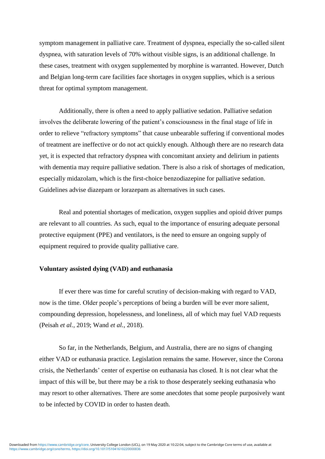symptom management in palliative care. Treatment of dyspnea, especially the so-called silent dyspnea, with saturation levels of 70% without visible signs, is an additional challenge. In these cases, treatment with oxygen supplemented by morphine is warranted. However, Dutch and Belgian long-term care facilities face shortages in oxygen supplies, which is a serious threat for optimal symptom management.

Additionally, there is often a need to apply palliative sedation. Palliative sedation involves the deliberate lowering of the patient's consciousness in the final stage of life in order to relieve "refractory symptoms" that cause unbearable suffering if conventional modes of treatment are ineffective or do not act quickly enough. Although there are no research data yet, it is expected that refractory dyspnea with concomitant anxiety and delirium in patients with dementia may require palliative sedation. There is also a risk of shortages of medication, especially midazolam, which is the first-choice benzodiazepine for palliative sedation. Guidelines advise diazepam or lorazepam as alternatives in such cases.

Real and potential shortages of medication, oxygen supplies and opioid driver pumps are relevant to all countries. As such, equal to the importance of ensuring adequate personal protective equipment (PPE) and ventilators, is the need to ensure an ongoing supply of equipment required to provide quality palliative care.

## **Voluntary assisted dying (VAD) and euthanasia**

If ever there was time for careful scrutiny of decision-making with regard to VAD, now is the time. Older people's perceptions of being a burden will be ever more salient, compounding depression, hopelessness, and loneliness, all of which may fuel VAD requests (Peisah *et al.*, 2019; Wand *et al.*, 2018).

So far, in the Netherlands, Belgium, and Australia, there are no signs of changing either VAD or euthanasia practice. Legislation remains the same. However, since the Corona crisis, the Netherlands' center of expertise on euthanasia has closed. It is not clear what the impact of this will be, but there may be a risk to those desperately seeking euthanasia who may resort to other alternatives. There are some anecdotes that some people purposively want to be infected by COVID in order to hasten death.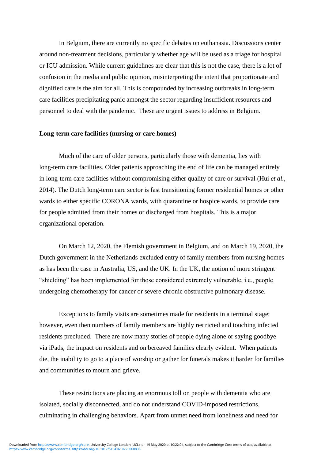In Belgium, there are currently no specific debates on euthanasia. Discussions center around non-treatment decisions, particularly whether age will be used as a triage for hospital or ICU admission. While current guidelines are clear that this is not the case, there is a lot of confusion in the media and public opinion, misinterpreting the intent that proportionate and dignified care is the aim for all. This is compounded by increasing outbreaks in long-term care facilities precipitating panic amongst the sector regarding insufficient resources and personnel to deal with the pandemic. These are urgent issues to address in Belgium.

#### **Long-term care facilities (nursing or care homes)**

Much of the care of older persons, particularly those with dementia, lies with long-term care facilities. Older patients approaching the end of life can be managed entirely in long-term care facilities without compromising either quality of care or survival (Hui *et al.*, 2014). The Dutch long-term care sector is fast transitioning former residential homes or other wards to either specific CORONA wards, with quarantine or hospice wards, to provide care for people admitted from their homes or discharged from hospitals. This is a major organizational operation.

On March 12, 2020, the Flemish government in Belgium, and on March 19, 2020, the Dutch government in the Netherlands excluded entry of family members from nursing homes as has been the case in Australia, US, and the UK. In the UK, the notion of more stringent "shielding" has been implemented for those considered extremely vulnerable, i.e., people undergoing chemotherapy for cancer or severe chronic obstructive pulmonary disease.

Exceptions to family visits are sometimes made for residents in a terminal stage; however, even then numbers of family members are highly restricted and touching infected residents precluded. There are now many stories of people dying alone or saying goodbye via iPads, the impact on residents and on bereaved families clearly evident. When patients die, the inability to go to a place of worship or gather for funerals makes it harder for families and communities to mourn and grieve.

These restrictions are placing an enormous toll on people with dementia who are isolated, socially disconnected, and do not understand COVID-imposed restrictions, culminating in challenging behaviors. Apart from unmet need from loneliness and need for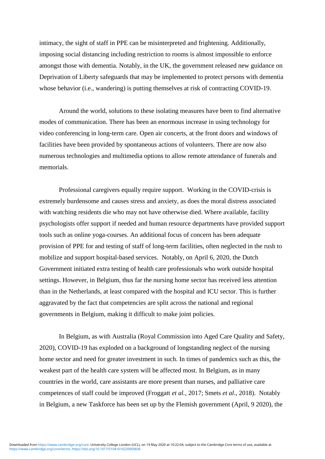intimacy, the sight of staff in PPE can be misinterpreted and frightening. Additionally, imposing social distancing including restriction to rooms is almost impossible to enforce amongst those with dementia. Notably, in the UK, the government released new guidance on Deprivation of Liberty safeguards that may be implemented to protect persons with dementia whose behavior (i.e., wandering) is putting themselves at risk of contracting COVID-19.

Around the world, solutions to these isolating measures have been to find alternative modes of communication. There has been an enormous increase in using technology for video conferencing in long-term care. Open air concerts, at the front doors and windows of facilities have been provided by spontaneous actions of volunteers. There are now also numerous technologies and multimedia options to allow remote attendance of funerals and memorials.

Professional caregivers equally require support. Working in the COVID-crisis is extremely burdensome and causes stress and anxiety, as does the moral distress associated with watching residents die who may not have otherwise died. Where available, facility psychologists offer support if needed and human resource departments have provided support tools such as online yoga-courses. An additional focus of concern has been adequate provision of PPE for and testing of staff of long-term facilities, often neglected in the rush to mobilize and support hospital-based services. Notably, on April 6, 2020, the Dutch Government initiated extra testing of health care professionals who work outside hospital settings. However, in Belgium, thus far the nursing home sector has received less attention than in the Netherlands, at least compared with the hospital and ICU sector. This is further aggravated by the fact that competencies are split across the national and regional governments in Belgium, making it difficult to make joint policies.

In Belgium, as with Australia (Royal Commission into Aged Care Quality and Safety, 2020), COVID-19 has exploded on a background of longstanding neglect of the nursing home sector and need for greater investment in such. In times of pandemics such as this, the weakest part of the health care system will be affected most. In Belgium, as in many countries in the world, care assistants are more present than nurses, and palliative care competences of staff could be improved (Froggatt *et al.*, 2017; Smets *et al.*, 2018). Notably in Belgium, a new Taskforce has been set up by the Flemish government (April, 9 2020), the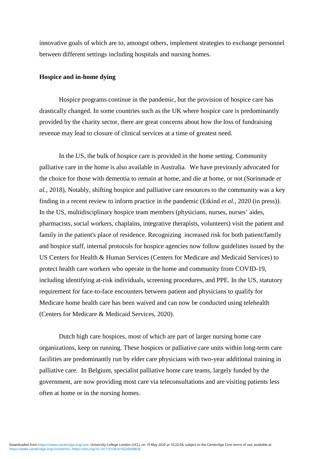innovative goals of which are to, amongst others, implement strategies to exchange personnel between different settings including hospitals and nursing homes.

# **Hospice and in-home dying**

Hospice programs continue in the pandemic, but the provision of hospice care has drastically changed. In some countries such as the UK where hospice care is predominantly provided by the charity sector, there are great concerns about how the loss of fundraising revenue may lead to closure of clinical services at a time of greatest need.

In the US, the bulk of hospice care is provided in the home setting. Community palliative care in the home is also available in Australia. We have previously advocated for the choice for those with dementia to remain at home, and die at home, or not (Sorinmade *et al.*, 2018), Notably, shifting hospice and palliative care resources to the community was a key finding in a recent review to inform practice in the pandemic (Etkind *et al.*, 2020 (in press)). In the US, multidisciplinary hospice team members (physicians, nurses, nurses' aides, pharmacists, social workers, chaplains, integrative therapists, volunteers) visit the patient and family in the patient's place of residence. Recognizing increased risk for both patient/family and hospice staff, internal protocols for hospice agencies now follow guidelines issued by the US Centers for Health & Human Services (Centers for Medicare and Medicaid Services) to protect health care workers who operate in the home and community from COVID-19, including identifying at-risk individuals, screening procedures, and PPE. In the US, statutory requirement for face-to-face encounters between patient and physicians to qualify for Medicare home health care has been waived and can now be conducted using telehealth (Centers for Medicare & Medicaid Services, 2020).

Dutch high care hospices, most of which are part of larger nursing home care organizations, keep on running. These hospices or palliative care units within long-term care facilities are predominantly run by elder care physicians with two-year additional training in palliative care. In Belgium, specialist palliative home care teams, largely funded by the government, are now providing most care via teleconsultations and are visiting patients less often at home or in the nursing homes.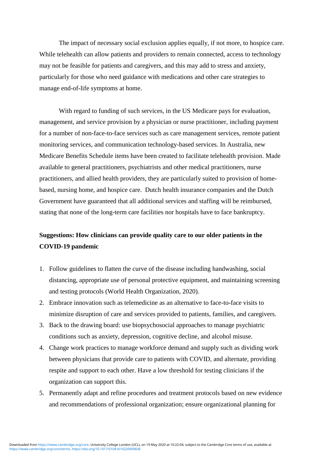The impact of necessary social exclusion applies equally, if not more, to hospice care. While telehealth can allow patients and providers to remain connected, access to technology may not be feasible for patients and caregivers, and this may add to stress and anxiety, particularly for those who need guidance with medications and other care strategies to manage end-of-life symptoms at home.

With regard to funding of such services, in the US Medicare pays for evaluation, management, and service provision by a physician or nurse practitioner, including payment for a number of non-face-to-face services such as care management services, remote patient monitoring services, and communication technology-based services. In Australia, new Medicare Benefits Schedule items have been created to facilitate telehealth provision. Made available to general practitioners, psychiatrists and other medical practitioners, nurse practitioners, and allied health providers, they are particularly suited to provision of homebased, nursing home, and hospice care. Dutch health insurance companies and the Dutch Government have guaranteed that all additional services and staffing will be reimbursed, stating that none of the long-term care facilities nor hospitals have to face bankruptcy.

# **Suggestions: How clinicians can provide quality care to our older patients in the COVID-19 pandemic**

- 1. Follow guidelines to flatten the curve of the disease including handwashing, social distancing, appropriate use of personal protective equipment, and maintaining screening and testing protocols (World Health Organization, 2020).
- 2. Embrace innovation such as telemedicine as an alternative to face-to-face visits to minimize disruption of care and services provided to patients, families, and caregivers.
- 3. Back to the drawing board: use biopsychosocial approaches to manage psychiatric conditions such as anxiety, depression, cognitive decline, and alcohol misuse.
- 4. Change work practices to manage workforce demand and supply such as dividing work between physicians that provide care to patients with COVID, and alternate, providing respite and support to each other. Have a low threshold for testing clinicians if the organization can support this.
- 5. Permanently adapt and refine procedures and treatment protocols based on new evidence and recommendations of professional organization; ensure organizational planning for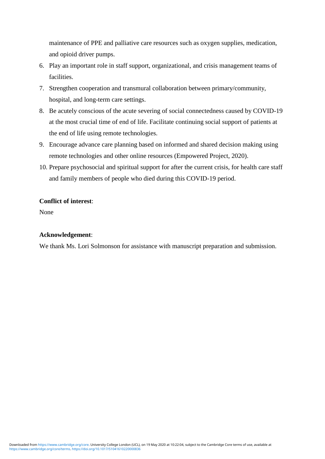maintenance of PPE and palliative care resources such as oxygen supplies, medication, and opioid driver pumps.

- 6. Play an important role in staff support, organizational, and crisis management teams of **facilities**
- 7. Strengthen cooperation and transmural collaboration between primary/community, hospital, and long-term care settings.
- 8. Be acutely conscious of the acute severing of social connectedness caused by COVID-19 at the most crucial time of end of life. Facilitate continuing social support of patients at the end of life using remote technologies.
- 9. Encourage advance care planning based on informed and shared decision making using remote technologies and other online resources (Empowered Project, 2020).
- 10. Prepare psychosocial and spiritual support for after the current crisis, for health care staff and family members of people who died during this COVID-19 period.

# **Conflict of interest**:

None

# **Acknowledgement**:

We thank Ms. Lori Solmonson for assistance with manuscript preparation and submission.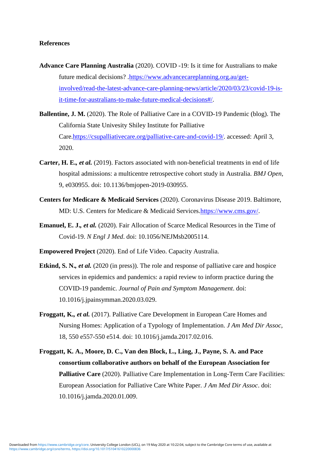# **References**

- **Advance Care Planning Australia** (2020). COVID -19: Is it time for Australians to make future medical decisions? [.https://www.advancecareplanning.org.au/get](https://www.advancecareplanning.org.au/get-involved/read-the-latest-advance-care-planning-news/article/2020/03/23/covid-19-is-it-time-for-australians-to-make-future-medical-decisions#/)[involved/read-the-latest-advance-care-planning-news/article/2020/03/23/covid-19-is](https://www.advancecareplanning.org.au/get-involved/read-the-latest-advance-care-planning-news/article/2020/03/23/covid-19-is-it-time-for-australians-to-make-future-medical-decisions#/)[it-time-for-australians-to-make-future-medical-decisions#/.](https://www.advancecareplanning.org.au/get-involved/read-the-latest-advance-care-planning-news/article/2020/03/23/covid-19-is-it-time-for-australians-to-make-future-medical-decisions#/)
- **Ballentine, J. M.** (2020). The Role of Palliative Care in a COVID-19 Pandemic (blog). The California State Univesity Shiley Institute for Palliative Care[.https://csupalliativecare.org/palliative-care-and-covid-19/.](https://csupalliativecare.org/palliative-care-and-covid-19/) accessed: April 3, 2020.
- **Carter, H. E.***, et al.* (2019). Factors associated with non-beneficial treatments in end of life hospital admissions: a multicentre retrospective cohort study in Australia. *BMJ Open*, 9, e030955. doi: 10.1136/bmjopen-2019-030955.
- **Centers for Medicare & Medicaid Services** (2020). Coronavirus Disease 2019. Baltimore, MD: U.S. Centers for Medicare & Medicaid Services[.https://www.cms.gov/.](https://www.cms.gov/)
- **Emanuel, E. J.***, et al.* (2020). Fair Allocation of Scarce Medical Resources in the Time of Covid-19. *N Engl J Med*. doi: 10.1056/NEJMsb2005114.
- **Empowered Project** (2020). End of Life Video. Capacity Australia.
- **Etkind, S. N.***, et al.* (2020 (in press)). The role and response of palliative care and hospice services in epidemics and pandemics: a rapid review to inform practice during the COVID-19 pandemic. *Journal of Pain and Symptom Management*. doi: 10.1016/j.jpainsymman.2020.03.029.
- **Froggatt, K.***, et al.* (2017). Palliative Care Development in European Care Homes and Nursing Homes: Application of a Typology of Implementation. *J Am Med Dir Assoc*, 18, 550 e557-550 e514. doi: 10.1016/j.jamda.2017.02.016.
- **Froggatt, K. A., Moore, D. C., Van den Block, L., Ling, J., Payne, S. A. and Pace consortium collaborative authors on behalf of the European Association for Palliative Care** (2020). Palliative Care Implementation in Long-Term Care Facilities: European Association for Palliative Care White Paper. *J Am Med Dir Assoc*. doi: 10.1016/j.jamda.2020.01.009.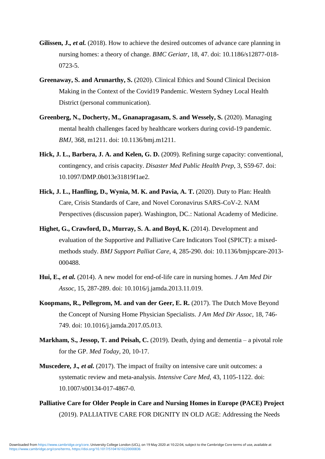- **Gilissen, J.***, et al.* (2018). How to achieve the desired outcomes of advance care planning in nursing homes: a theory of change. *BMC Geriatr*, 18, 47. doi: 10.1186/s12877-018- 0723-5.
- **Greenaway, S. and Arunarthy, S.** (2020). Clinical Ethics and Sound Clinical Decision Making in the Context of the Covid19 Pandemic. Western Sydney Local Health District (personal communication).
- **Greenberg, N., Docherty, M., Gnanapragasam, S. and Wessely, S.** (2020). Managing mental health challenges faced by healthcare workers during covid-19 pandemic. *BMJ*, 368, m1211. doi: 10.1136/bmj.m1211.
- **Hick, J. L., Barbera, J. A. and Kelen, G. D.** (2009). Refining surge capacity: conventional, contingency, and crisis capacity. *Disaster Med Public Health Prep*, 3, S59-67. doi: 10.1097/DMP.0b013e31819f1ae2.
- **Hick, J. L., Hanfling, D., Wynia, M. K. and Pavia, A. T.** (2020). Duty to Plan: Health Care, Crisis Standards of Care, and Novel Coronavirus SARS-CoV-2. NAM Perspectives (discussion paper). Washington, DC.: National Academy of Medicine.
- **Highet, G., Crawford, D., Murray, S. A. and Boyd, K.** (2014). Development and evaluation of the Supportive and Palliative Care Indicators Tool (SPICT): a mixedmethods study. *BMJ Support Palliat Care*, 4, 285-290. doi: 10.1136/bmjspcare-2013- 000488.
- **Hui, E.***, et al.* (2014). A new model for end-of-life care in nursing homes. *J Am Med Dir Assoc*, 15, 287-289. doi: 10.1016/j.jamda.2013.11.019.
- **Koopmans, R., Pellegrom, M. and van der Geer, E. R.** (2017). The Dutch Move Beyond the Concept of Nursing Home Physician Specialists. *J Am Med Dir Assoc*, 18, 746- 749. doi: 10.1016/j.jamda.2017.05.013.
- **Markham, S., Jessop, T. and Peisah, C.** (2019). Death, dying and dementia a pivotal role for the GP. *Med Today*, 20, 10-17.
- **Muscedere, J.***, et al.* (2017). The impact of frailty on intensive care unit outcomes: a systematic review and meta-analysis. *Intensive Care Med*, 43, 1105-1122. doi: 10.1007/s00134-017-4867-0.
- **Palliative Care for Older People in Care and Nursing Homes in Europe (PACE) Project** (2019). PALLIATIVE CARE FOR DIGNITY IN OLD AGE: Addressing the Needs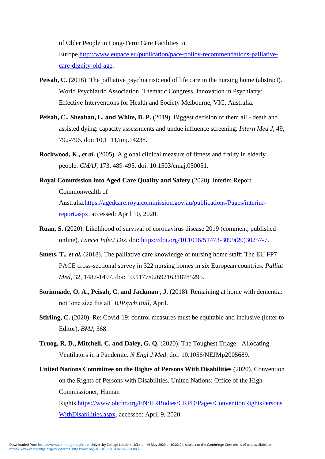of Older People in Long-Term Care Facilities in

Europe[.http://www.eupace.eu/publication/pace-policy-recommendations-palliative](http://www.eupace.eu/publication/pace-policy-recommendations-palliative-care-dignity-old-age)[care-dignity-old-age.](http://www.eupace.eu/publication/pace-policy-recommendations-palliative-care-dignity-old-age)

- **Peisah, C.** (2018). The palliative psychiatrist: end of life care in the nursing home (abstract). World Psychiatric Association. Thematic Congress, Innovation in Psychiatry: Effective Interventions for Health and Society Melbourne, VIC, Australia.
- **Peisah, C., Sheahan, L. and White, B. P.** (2019). Biggest decision of them all death and assisted dying: capacity assessments and undue influence screening. *Intern Med J*, 49, 792-796. doi: 10.1111/imj.14238.
- **Rockwood, K.***, et al.* (2005). A global clinical measure of fitness and frailty in elderly people. *CMAJ*, 173, 489-495. doi: 10.1503/cmaj.050051.
- **Royal Commission into Aged Care Quality and Safety** (2020). Interim Report. Commonwealth of Australia[.https://agedcare.royalcommission.gov.au/publications/Pages/interim](https://agedcare.royalcommission.gov.au/publications/Pages/interim-report.aspx)[report.aspx.](https://agedcare.royalcommission.gov.au/publications/Pages/interim-report.aspx) accessed: April 10, 2020.
- **Ruan, S.** (2020). Likelihood of survival of coronavirus disease 2019 (comment, published online). *Lancet Infect Dis*. doi: [https://doi.org/10.1016/S1473-3099\(20\)30257-7.](https://doi.org/10.1016/S1473-3099(20)30257-7)
- **Smets, T.***, et al.* (2018). The palliative care knowledge of nursing home staff: The EU FP7 PACE cross-sectional survey in 322 nursing homes in six European countries. *Palliat Med*, 32, 1487-1497. doi: 10.1177/0269216318785295.
- **Sorinmade, O. A., Peisah, C. and Jackman , J.** (2018). Remaining at home with dementia: not 'one size fits all' *BJPsych Bull*, April.
- **Stirling, C.** (2020). Re: Covid-19: control measures must be equitable and inclusive (letter to Editor). *BMJ*, 368.
- **Truog, R. D., Mitchell, C. and Daley, G. Q.** (2020). The Toughest Triage Allocating Ventilators in a Pandemic. *N Engl J Med*. doi: 10.1056/NEJMp2005689.
- **United Nations Committee on the Rights of Persons With Disabilities** (2020). Convention on the Rights of Persons with Disabilities. United Nations: Office of the High Commissioner, Human Rights[.https://www.ohchr.org/EN/HRBodies/CRPD/Pages/ConventionRightsPersons](https://www.ohchr.org/EN/HRBodies/CRPD/Pages/ConventionRightsPersonsWithDisabilities.aspx) [WithDisabilities.aspx.](https://www.ohchr.org/EN/HRBodies/CRPD/Pages/ConventionRightsPersonsWithDisabilities.aspx) accessed: April 9, 2020.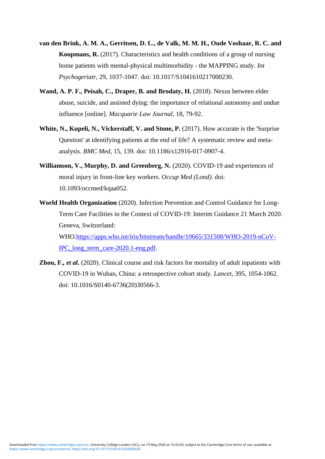- **van den Brink, A. M. A., Gerritsen, D. L., de Valk, M. M. H., Oude Voshaar, R. C. and Koopmans, R.** (2017). Characteristics and health conditions of a group of nursing home patients with mental-physical multimorbidity - the MAPPING study. *Int Psychogeriatr*, 29, 1037-1047. doi: 10.1017/S1041610217000230.
- **Wand, A. P. F., Peisah, C., Draper, B. and Brodaty, H.** (2018). Nexus between elder abuse, suicide, and assisted dying: the importance of relational autonomy and undue influence [online]. *Macquarie Law Journal*, 18, 79-92.
- **White, N., Kupeli, N., Vickerstaff, V. and Stone, P.** (2017). How accurate is the 'Surprise Question' at identifying patients at the end of life? A systematic review and metaanalysis. *BMC Med*, 15, 139. doi: 10.1186/s12916-017-0907-4.
- **Williamson, V., Murphy, D. and Greenberg, N.** (2020). COVID-19 and experiences of moral injury in front-line key workers. *Occup Med (Lond)*. doi: 10.1093/occmed/kqaa052.
- **World Health Organization** (2020). Infection Prevention and Control Guidance for Long-Term Care Facilities in the Context of COVID-19: Interim Guidance 21 March 2020. Geneva, Switzerland: WHO[.https://apps.who.int/iris/bitstream/handle/10665/331508/WHO-2019-nCoV-](https://apps.who.int/iris/bitstream/handle/10665/331508/WHO-2019-nCoV-IPC_long_term_care-2020.1-eng.pdf)[IPC\\_long\\_term\\_care-2020.1-eng.pdf.](https://apps.who.int/iris/bitstream/handle/10665/331508/WHO-2019-nCoV-IPC_long_term_care-2020.1-eng.pdf)
- **Zhou, F.***, et al.* (2020). Clinical course and risk factors for mortality of adult inpatients with COVID-19 in Wuhan, China: a retrospective cohort study. *Lancet*, 395, 1054-1062. doi: 10.1016/S0140-6736(20)30566-3.